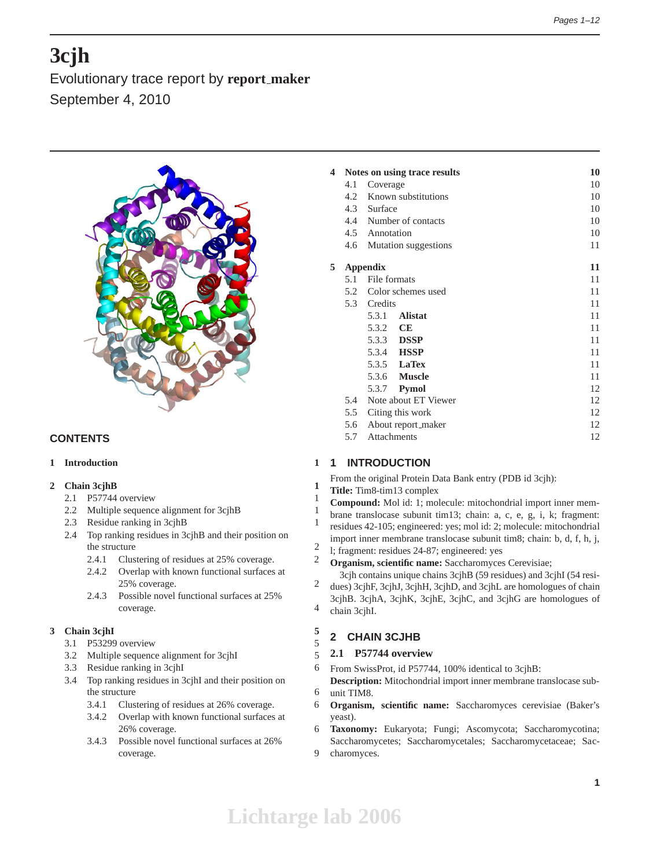# **3cjh**

Evolutionary trace report by **report maker** September 4, 2010



## **CONTENTS**

## **1 Introduction 1**

## **2 Chain 3cjhB 1**

- 2.1 P57744 overview 1
- 2.2 Multiple sequence alignment for 3cjhB 1
- 2.3 Residue ranking in 3cjhB 1
- 2.4 Top ranking residues in 3cjhB and their position on the structure 2
	- 2.4.1 Clustering of residues at 25% coverage. 2
	- 2.4.2 Overlap with known functional surfaces at 25% coverage. 2
	- 2.4.3 Possible novel functional surfaces at 25% coverage. 4

## **3 Chain 3cjhI 5**

- 3.1 P53299 overview 5
- 3.2 Multiple sequence alignment for 3cjhI 5
- 3.3 Residue ranking in 3cjhI 6
- 3.4 Top ranking residues in 3cjhI and their position on the structure 6
	- 3.4.1 Clustering of residues at 26% coverage. 6
	- 3.4.2 Overlap with known functional surfaces at 26% coverage. 6
	- 3.4.3 Possible novel functional surfaces at 26% coverage. 9

| 4 |     | Notes on using trace results | 10 |
|---|-----|------------------------------|----|
|   | 4.1 | Coverage                     | 10 |
|   |     | 4.2 Known substitutions      | 10 |
|   |     | 4.3 Surface                  | 10 |
|   |     | 4.4 Number of contacts       | 10 |
|   |     | 4.5 Annotation               | 10 |
|   | 4.6 | Mutation suggestions         | 11 |
| 5 |     | <b>Appendix</b>              | 11 |
|   | 5.1 | File formats                 | 11 |
|   |     | 5.2 Color schemes used       | 11 |
|   |     | 5.3 Credits                  | 11 |
|   |     | 5.3.1<br><b>Alistat</b>      | 11 |
|   |     | 5.3.2 CE                     | 11 |
|   |     | 5.3.3 <b>DSSP</b>            | 11 |
|   |     | 5.3.4 <b>HSSP</b>            | 11 |
|   |     | 5.3.5 <b>LaTex</b>           | 11 |
|   |     | 5.3.6 <b>Muscle</b>          | 11 |
|   |     | 5.3.7 <b>Pymol</b>           | 12 |
|   | 5.4 | Note about ET Viewer         | 12 |
|   |     | 5.5 Citing this work         | 12 |
|   | 5.6 | About report_maker           | 12 |
|   | 5.7 | Attachments                  | 12 |
|   |     |                              |    |

## **1 INTRODUCTION**

- From the original Protein Data Bank entry (PDB id 3cjh):
- **Title:** Tim8-tim13 complex
- **Compound:** Mol id: 1; molecule: mitochondrial import inner mem-
- brane translocase subunit tim13; chain: a, c, e, g, i, k; fragment: residues 42-105; engineered: yes; mol id: 2; molecule: mitochondrial
- import inner membrane translocase subunit tim8; chain: b, d, f, h, j,
- l; fragment: residues 24-87; engineered: yes
- **Organism, scientific name:** Saccharomyces Cerevisiae;
- 3cjh contains unique chains 3cjhB (59 residues) and 3cjhI (54 residues) 3cjhF, 3cjhJ, 3cjhH, 3cjhD, and 3cjhL are homologues of chain
- 3cjhB. 3cjhA, 3cjhK, 3cjhE, 3cjhC, and 3cjhG are homologues of chain 3cjhI.

## **2 CHAIN 3CJHB**

## **2.1 P57744 overview**

- From SwissProt, id P57744, 100% identical to 3cjhB:
- **Description:** Mitochondrial import inner membrane translocase subunit TIM8.
- **Organism, scientific name:** Saccharomyces cerevisiae (Baker's yeast).
- **Taxonomy:** Eukaryota; Fungi; Ascomycota; Saccharomycotina; Saccharomycetes; Saccharomycetales; Saccharomycetaceae; Sac-
- charomyces.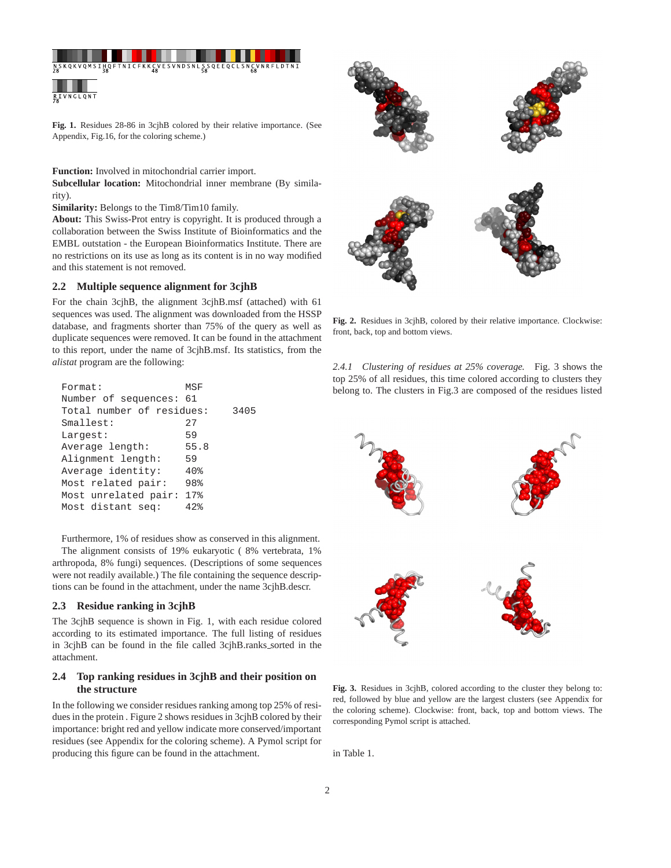

**Fig. 1.** Residues 28-86 in 3cjhB colored by their relative importance. (See Appendix, Fig.16, for the coloring scheme.)

**Function:** Involved in mitochondrial carrier import.

**Subcellular location:** Mitochondrial inner membrane (By similarity).

**Similarity:** Belongs to the Tim8/Tim10 family.

**About:** This Swiss-Prot entry is copyright. It is produced through a collaboration between the Swiss Institute of Bioinformatics and the EMBL outstation - the European Bioinformatics Institute. There are no restrictions on its use as long as its content is in no way modified and this statement is not removed.

#### **2.2 Multiple sequence alignment for 3cjhB**

For the chain 3cjhB, the alignment 3cjhB.msf (attached) with 61 sequences was used. The alignment was downloaded from the HSSP database, and fragments shorter than 75% of the query as well as duplicate sequences were removed. It can be found in the attachment to this report, under the name of 3cjhB.msf. Its statistics, from the *alistat* program are the following:

| Format:                   | MSF  |      |  |
|---------------------------|------|------|--|
| Number of sequences: 61   |      |      |  |
| Total number of residues: |      | 3405 |  |
| Smallest:                 | 27   |      |  |
| Largest:                  | 59   |      |  |
| Average length:           | 55.8 |      |  |
| Alignment length:         | 59   |      |  |
| Average identity:         | 40%  |      |  |
| Most related pair:        | 98%  |      |  |
| Most unrelated pair:      | 17%  |      |  |
| Most distant seq:         | 42   |      |  |

Furthermore, 1% of residues show as conserved in this alignment.

The alignment consists of 19% eukaryotic ( 8% vertebrata, 1% arthropoda, 8% fungi) sequences. (Descriptions of some sequences were not readily available.) The file containing the sequence descriptions can be found in the attachment, under the name 3cjhB.descr.

#### **2.3 Residue ranking in 3cjhB**

The 3cjhB sequence is shown in Fig. 1, with each residue colored according to its estimated importance. The full listing of residues in 3cjhB can be found in the file called 3cjhB.ranks sorted in the attachment.

## **2.4 Top ranking residues in 3cjhB and their position on the structure**

In the following we consider residues ranking among top 25% of residues in the protein . Figure 2 shows residues in 3cjhB colored by their importance: bright red and yellow indicate more conserved/important residues (see Appendix for the coloring scheme). A Pymol script for producing this figure can be found in the attachment.



**Fig. 2.** Residues in 3cjhB, colored by their relative importance. Clockwise: front, back, top and bottom views.

*2.4.1 Clustering of residues at 25% coverage.* Fig. 3 shows the top 25% of all residues, this time colored according to clusters they belong to. The clusters in Fig.3 are composed of the residues listed



**Fig. 3.** Residues in 3cjhB, colored according to the cluster they belong to: red, followed by blue and yellow are the largest clusters (see Appendix for the coloring scheme). Clockwise: front, back, top and bottom views. The corresponding Pymol script is attached.

in Table 1.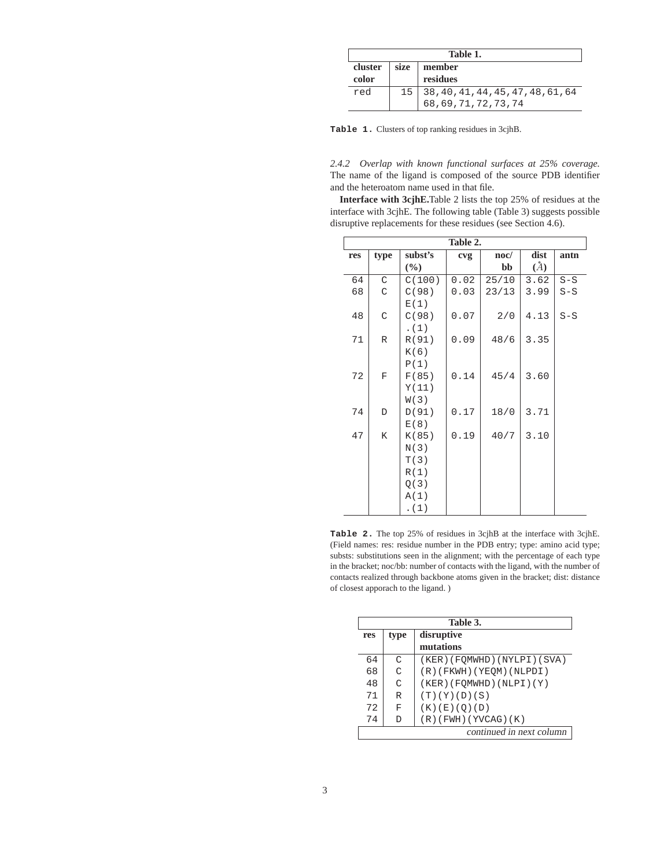|                           | Table 1. |                                              |  |  |  |
|---------------------------|----------|----------------------------------------------|--|--|--|
| size<br>cluster<br>member |          |                                              |  |  |  |
| color                     |          | residues                                     |  |  |  |
| red                       |          | $15 \mid 38, 40, 41, 44, 45, 47, 48, 61, 64$ |  |  |  |
|                           |          | 68, 69, 71, 72, 73, 74                       |  |  |  |

**Table 1.** Clusters of top ranking residues in 3cjhB.

*2.4.2 Overlap with known functional surfaces at 25% coverage.* The name of the ligand is composed of the source PDB identifier and the heteroatom name used in that file.

**Interface with 3cjhE.**Table 2 lists the top 25% of residues at the interface with 3cjhE. The following table (Table 3) suggests possible disruptive replacements for these residues (see Section 4.6).

| Table 2. |             |         |      |                 |               |       |
|----------|-------------|---------|------|-----------------|---------------|-------|
| res      | type        | subst's | cvg  | $\mathbf{noc}/$ | dist          | antn  |
|          |             | $(\%)$  |      | bb              | $\mathcal{L}$ |       |
| 64       | C           | C(100)  | 0.02 | 25/10           | 3.62          | $S-S$ |
| 68       | C           | C(98)   | 0.03 | 23/13           | 3.99          | $S-S$ |
|          |             | E(1)    |      |                 |               |       |
| 48       | C           | C(98)   | 0.07 | 2/0             | 4.13          | $S-S$ |
|          |             | . (1)   |      |                 |               |       |
| 71       | R           | R(91)   | 0.09 | 48/6            | 3.35          |       |
|          |             | K(6)    |      |                 |               |       |
|          |             | P(1)    |      |                 |               |       |
| 72       | $\mathbf F$ | F(85)   | 0.14 | 45/4            | 3.60          |       |
|          |             | Y(11)   |      |                 |               |       |
|          |             | W(3)    |      |                 |               |       |
| 74       | D           | D(91)   | 0.17 | 18/0            | 3.71          |       |
|          |             | E(8)    |      |                 |               |       |
| 47       | K           | K(85)   | 0.19 | 40/7            | 3.10          |       |
|          |             | N(3)    |      |                 |               |       |
|          |             | T(3)    |      |                 |               |       |
|          |             | R(1)    |      |                 |               |       |
|          |             | Q(3)    |      |                 |               |       |
|          |             | A(1)    |      |                 |               |       |
|          |             | . (1)   |      |                 |               |       |

**Table 2.** The top 25% of residues in 3cjhB at the interface with 3cjhE. (Field names: res: residue number in the PDB entry; type: amino acid type; substs: substitutions seen in the alignment; with the percentage of each type in the bracket; noc/bb: number of contacts with the ligand, with the number of contacts realized through backbone atoms given in the bracket; dist: distance of closest apporach to the ligand. )

|     | Table 3.           |                              |  |  |
|-----|--------------------|------------------------------|--|--|
| res | disruptive<br>type |                              |  |  |
|     |                    | mutations                    |  |  |
| 64  | $\cap$             | (KER) (FOMWHD) (NYLPI) (SVA) |  |  |
| 68  | $\cap$             | $(R)$ (FKWH) (YEQM) (NLPDI)  |  |  |
| 48  | $\cap$             | (KER) (FOMWHD) (NLPI) (Y)    |  |  |
| 71  | R                  | (T)(Y)(D)(S)                 |  |  |
| 72  | F                  | (K) (E) (O) (D)              |  |  |
| 74  | D                  | $(R)$ (FWH) (YVCAG) $(K)$    |  |  |
|     |                    | continued in next column     |  |  |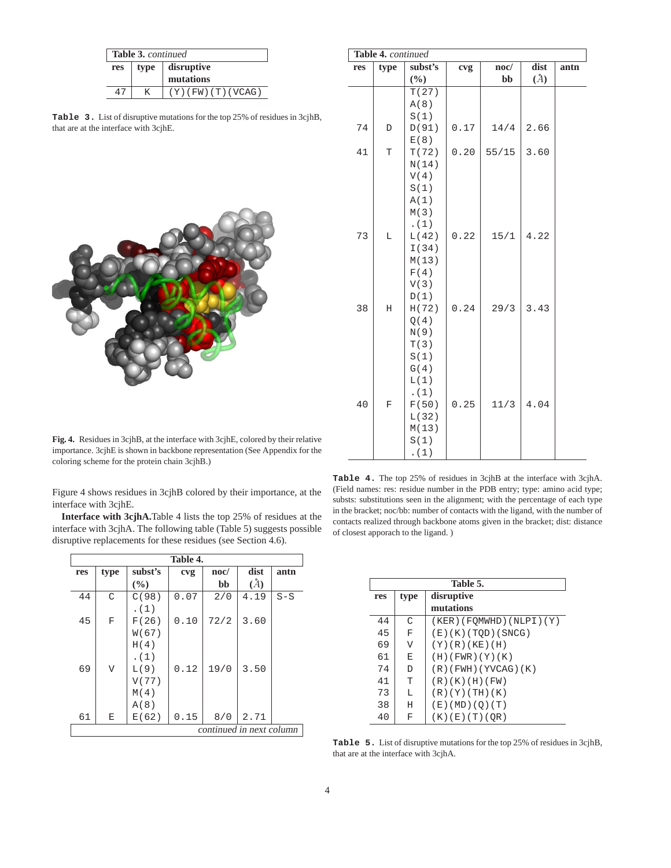| <b>Table 3. continued</b> |  |                       |  |  |
|---------------------------|--|-----------------------|--|--|
| res                       |  | type disruptive       |  |  |
|                           |  | mutations             |  |  |
| 47                        |  | $(Y)$ (FW) (T) (VCAG) |  |  |

**Table 3.** List of disruptive mutations for the top 25% of residues in 3cjhB, that are at the interface with 3cjhE.



| Table 4. continued |              |                 |      |                 |      |      |
|--------------------|--------------|-----------------|------|-----------------|------|------|
| res                | type         | subst's         | cvg  | $\mathbf{noc}/$ | dist | antn |
|                    |              | $(\frac{0}{0})$ |      | bb              | (A)  |      |
|                    |              | T(27)           |      |                 |      |      |
|                    |              | A(8)            |      |                 |      |      |
|                    |              | S(1)            |      |                 |      |      |
| 74                 | D            | D(91)           | 0.17 | 14/4            | 2.66 |      |
|                    |              | E(8)            |      |                 |      |      |
| 41                 | T            | T(72)           | 0.20 | 55/15           | 3.60 |      |
|                    |              | N(14)           |      |                 |      |      |
|                    |              | V(4)            |      |                 |      |      |
|                    |              | S(1)            |      |                 |      |      |
|                    |              | A(1)            |      |                 |      |      |
|                    |              | M(3)            |      |                 |      |      |
|                    |              | . $(1)$         |      |                 |      |      |
| 73                 | L            | L(42)           | 0.22 | 15/1            | 4.22 |      |
|                    |              | I(34)           |      |                 |      |      |
|                    |              | M(13)           |      |                 |      |      |
|                    |              | F(4)            |      |                 |      |      |
|                    |              | V(3)            |      |                 |      |      |
|                    |              | D(1)            |      |                 |      |      |
| 38                 | $\rm H$      | H(72)           | 0.24 | 29/3            | 3.43 |      |
|                    |              | Q(4)            |      |                 |      |      |
|                    |              | N(9)            |      |                 |      |      |
|                    |              | T(3)            |      |                 |      |      |
|                    |              | S(1)            |      |                 |      |      |
|                    |              | G(4)            |      |                 |      |      |
|                    |              | L(1)            |      |                 |      |      |
|                    |              | . $(1)$         |      |                 |      |      |
| 40                 | $\mathbf{F}$ | F(50)           | 0.25 | 11/3            | 4.04 |      |
|                    |              | L(32)           |      |                 |      |      |
|                    |              | M(13)           |      |                 |      |      |
|                    |              | S(1)            |      |                 |      |      |
|                    |              | (1)             |      |                 |      |      |

**Fig. 4.** Residues in 3cjhB, at the interface with 3cjhE, colored by their relative importance. 3cjhE is shown in backbone representation (See Appendix for the coloring scheme for the protein chain 3cjhB.)

Figure 4 shows residues in 3cjhB colored by their importance, at the interface with 3cjhE.

**Interface with 3cjhA.**Table 4 lists the top 25% of residues at the interface with 3cjhA. The following table (Table 5) suggests possible disruptive replacements for these residues (see Section 4.6).

| <b>Table 4.</b> The top 25% of residues in 3cjhB at the interface with 3cjhA.  |
|--------------------------------------------------------------------------------|
| (Field names: res: residue number in the PDB entry; type: amino acid type;     |
| substs: substitutions seen in the alignment; with the percentage of each type  |
| in the bracket; noc/bb: number of contacts with the ligand, with the number of |
| contacts realized through backbone atoms given in the bracket; dist: distance  |
| of closest apporach to the ligand.)                                            |

|                          | Table 4.                |         |      |             |      |       |
|--------------------------|-------------------------|---------|------|-------------|------|-------|
| res                      | type                    | subst's | cvg  | $\bf{noc}/$ | dist | antn  |
|                          |                         | $($ %)  |      | bb          | (A)  |       |
| 44                       | C                       | C(98)   | 0.07 | 2/0         | 4.19 | $S-S$ |
|                          |                         | . (1)   |      |             |      |       |
| 45                       | F                       | F(26)   | 0.10 | 72/2        | 3.60 |       |
|                          |                         | W(67)   |      |             |      |       |
|                          |                         | H(4)    |      |             |      |       |
|                          |                         | . (1)   |      |             |      |       |
| 69                       | $\overline{\mathsf{V}}$ | L(9)    | 0.12 | 19/0        | 3.50 |       |
|                          |                         | V(77)   |      |             |      |       |
|                          |                         | M(4)    |      |             |      |       |
|                          |                         | A(8)    |      |             |      |       |
| 61                       | Ε                       | E(62)   | 0.15 | 8/0         | 2.71 |       |
| continued in next column |                         |         |      |             |      |       |

|     | Table 5.           |                           |  |  |  |
|-----|--------------------|---------------------------|--|--|--|
| res | disruptive<br>type |                           |  |  |  |
|     |                    | mutations                 |  |  |  |
| 44  | C                  | (KER)(FOMWHD)(NLPI)(Y)    |  |  |  |
| 45  | F                  | (E)(K)(TOP)(SNCG)         |  |  |  |
| 69  | V                  | $(Y)$ $(R)$ $(KE)$ $(H)$  |  |  |  |
| 61  | E                  | (H)(FWR)(Y)(K)            |  |  |  |
| 74  | D                  | $(R)$ (FWH) (YVCAG) $(K)$ |  |  |  |
| 41  | T                  | (R)(K)(H)(FW)             |  |  |  |
| 73  | L                  | (R)(Y)(TH)(K)             |  |  |  |
| 38  | H                  | (E)(MD)(Q)(T)             |  |  |  |
| 40  | F                  | (K)(E)(T)(OR)             |  |  |  |

**Table 5.** List of disruptive mutations for the top 25% of residues in 3cjhB, that are at the interface with 3cjhA.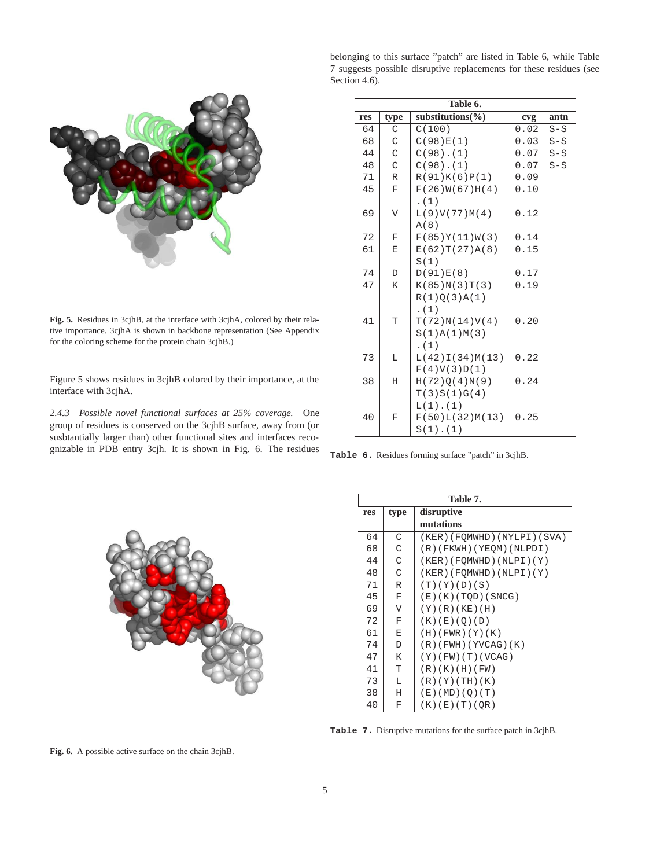

**Fig. 5.** Residues in 3cjhB, at the interface with 3cjhA, colored by their relative importance. 3cjhA is shown in backbone representation (See Appendix for the coloring scheme for the protein chain 3cjhB.)

Figure 5 shows residues in 3cjhB colored by their importance, at the interface with 3cjhA.

*2.4.3 Possible novel functional surfaces at 25% coverage.* One group of residues is conserved on the 3cjhB surface, away from (or susbtantially larger than) other functional sites and interfaces recognizable in PDB entry 3cjh. It is shown in Fig. 6. The residues belonging to this surface "patch" are listed in Table 6, while Table 7 suggests possible disruptive replacements for these residues (see Section 4.6).

|     | Table 6.    |                       |      |       |  |  |  |
|-----|-------------|-----------------------|------|-------|--|--|--|
| res | type        | substitutions( $\%$ ) | cvg  | antn  |  |  |  |
| 64  | C           | C(100)                | 0.02 | $S-S$ |  |  |  |
| 68  | C           | C(98)E(1)             | 0.03 | $S-S$ |  |  |  |
| 44  | C           | $C(98)$ . $(1)$       | 0.07 | $S-S$ |  |  |  |
| 48  | C           | $C(98)$ . $(1)$       | 0.07 | $S-S$ |  |  |  |
| 71  | R           | R(91)K(6)P(1)         | 0.09 |       |  |  |  |
| 45  | $\mathbf F$ | F(26)W(67)H(4)        | 0.10 |       |  |  |  |
|     |             | . (1)                 |      |       |  |  |  |
| 69  | V           | L(9)V(77)M(4)         | 0.12 |       |  |  |  |
|     |             | A(8)                  |      |       |  |  |  |
| 72  | $\mathbf F$ | F(85)Y(11)W(3)        | 0.14 |       |  |  |  |
| 61  | E           | E(62)T(27)A(8)        | 0.15 |       |  |  |  |
|     |             | S(1)                  |      |       |  |  |  |
| 74  | D           | D(91)E(8)             | 0.17 |       |  |  |  |
| 47  | K           | K(85)N(3)T(3)         | 0.19 |       |  |  |  |
|     |             | R(1)Q(3)A(1)          |      |       |  |  |  |
|     |             | (1)                   |      |       |  |  |  |
| 41  | T           | T(72)N(14)V(4)        | 0.20 |       |  |  |  |
|     |             | S(1)A(1)M(3)          |      |       |  |  |  |
|     |             | (1)                   |      |       |  |  |  |
| 73  | L           | L(42)I(34)M(13)       | 0.22 |       |  |  |  |
|     |             | F(4)V(3)D(1)          |      |       |  |  |  |
| 38  | Н           | H(72)Q(4)N(9)         | 0.24 |       |  |  |  |
|     |             | T(3)S(1)G(4)          |      |       |  |  |  |
|     |             | $L(1)$ . $(1)$        |      |       |  |  |  |
| 40  | F           | F(50)L(32)M(13)       | 0.25 |       |  |  |  |
|     |             | $S(1)$ . $(1)$        |      |       |  |  |  |

**Table 6.** Residues forming surface "patch" in 3cjhB.



|     | Table 7. |                           |  |  |  |
|-----|----------|---------------------------|--|--|--|
| res | type     | disruptive                |  |  |  |
|     |          | mutations                 |  |  |  |
| 64  | C        | (KER)(FQMWHD)(NYLPI)(SVA) |  |  |  |
| 68  | C        | (R)(FKWH)(YEQM)(NLPDI)    |  |  |  |
| 44  | C        | (KER)(FOMWHD)(NLPI)(Y)    |  |  |  |
| 48  | C        | (KER) (FOMWHD) (NLPI) (Y) |  |  |  |
| 71  | R        | (T)(Y)(D)(S)              |  |  |  |
| 45  | F        | (E)(K)(TOP)(SNCG)         |  |  |  |
| 69  | V        | (Y)(R)(KE)(H)             |  |  |  |
| 72  | F        | (K) (E) (O) (D)           |  |  |  |
| 61  | Ε        | (H)(FWR)(Y)(K)            |  |  |  |
| 74  | D        | $(R)$ (FWH) (YVCAG) (K)   |  |  |  |
| 47  | K        | $(Y)$ (FW) (T) (VCAG)     |  |  |  |
| 41  | T        | (R)(K)(H)(FW)             |  |  |  |
| 73  | L        | (R)(Y)(TH)(K)             |  |  |  |
| 38  | Η        | (E)(MD)(Q)(T)             |  |  |  |
| 40  | F        | (K)(E)(T)(QR)             |  |  |  |

**Table 7.** Disruptive mutations for the surface patch in 3cjhB.

**Fig. 6.** A possible active surface on the chain 3cjhB.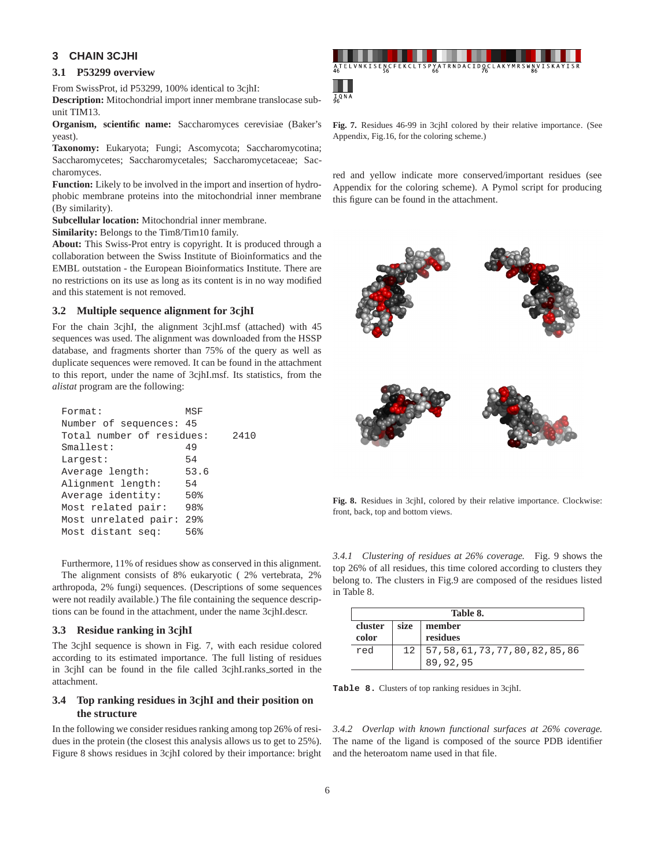## **3 CHAIN 3CJHI**

## **3.1 P53299 overview**

From SwissProt, id P53299, 100% identical to 3cjhI:

**Description:** Mitochondrial import inner membrane translocase subunit TIM13.

**Organism, scientific name:** Saccharomyces cerevisiae (Baker's yeast).

**Taxonomy:** Eukaryota; Fungi; Ascomycota; Saccharomycotina; Saccharomycetes; Saccharomycetales; Saccharomycetaceae; Saccharomyces.

**Function:** Likely to be involved in the import and insertion of hydrophobic membrane proteins into the mitochondrial inner membrane (By similarity).

**Subcellular location:** Mitochondrial inner membrane.

**Similarity:** Belongs to the Tim8/Tim10 family.

**About:** This Swiss-Prot entry is copyright. It is produced through a collaboration between the Swiss Institute of Bioinformatics and the EMBL outstation - the European Bioinformatics Institute. There are no restrictions on its use as long as its content is in no way modified and this statement is not removed.

#### **3.2 Multiple sequence alignment for 3cjhI**

For the chain 3cjhI, the alignment 3cjhI.msf (attached) with 45 sequences was used. The alignment was downloaded from the HSSP database, and fragments shorter than 75% of the query as well as duplicate sequences were removed. It can be found in the attachment to this report, under the name of 3cjhI.msf. Its statistics, from the *alistat* program are the following:

| Format:                   | MSF               |      |
|---------------------------|-------------------|------|
| Number of sequences: 45   |                   |      |
| Total number of residues: |                   | 2410 |
| Smallest:                 | 49                |      |
| Largest:                  | 54                |      |
| Average length:           | 53.6              |      |
| Alignment length:         | 54                |      |
| Average identity:         | 50%               |      |
| Most related pair:        | 98%               |      |
| Most unrelated pair:      | $29$ <sup>2</sup> |      |
| Most distant seq:         | 56%               |      |
|                           |                   |      |

Furthermore, 11% of residues show as conserved in this alignment. The alignment consists of 8% eukaryotic ( 2% vertebrata, 2% arthropoda, 2% fungi) sequences. (Descriptions of some sequences were not readily available.) The file containing the sequence descriptions can be found in the attachment, under the name 3cjhI.descr.

#### **3.3 Residue ranking in 3cjhI**

The 3cjhI sequence is shown in Fig. 7, with each residue colored according to its estimated importance. The full listing of residues in 3cjhI can be found in the file called 3cjhI.ranks\_sorted in the attachment.

## **3.4 Top ranking residues in 3cjhI and their position on the structure**

In the following we consider residues ranking among top 26% of residues in the protein (the closest this analysis allows us to get to 25%). Figure 8 shows residues in 3cjhI colored by their importance: bright



**Fig. 7.** Residues 46-99 in 3cjhI colored by their relative importance. (See Appendix, Fig.16, for the coloring scheme.)

red and yellow indicate more conserved/important residues (see Appendix for the coloring scheme). A Pymol script for producing this figure can be found in the attachment.



**Fig. 8.** Residues in 3cjhI, colored by their relative importance. Clockwise: front, back, top and bottom views.

*3.4.1 Clustering of residues at 26% coverage.* Fig. 9 shows the top 26% of all residues, this time colored according to clusters they belong to. The clusters in Fig.9 are composed of the residues listed in Table 8.

|         | Table 8. |                                    |  |  |  |
|---------|----------|------------------------------------|--|--|--|
| cluster | size     | member                             |  |  |  |
| color   |          | residues                           |  |  |  |
| red     | 12       | 57, 58, 61, 73, 77, 80, 82, 85, 86 |  |  |  |
|         |          | 89,92,95                           |  |  |  |

**Table 8.** Clusters of top ranking residues in 3cjhI.

*3.4.2 Overlap with known functional surfaces at 26% coverage.* The name of the ligand is composed of the source PDB identifier and the heteroatom name used in that file.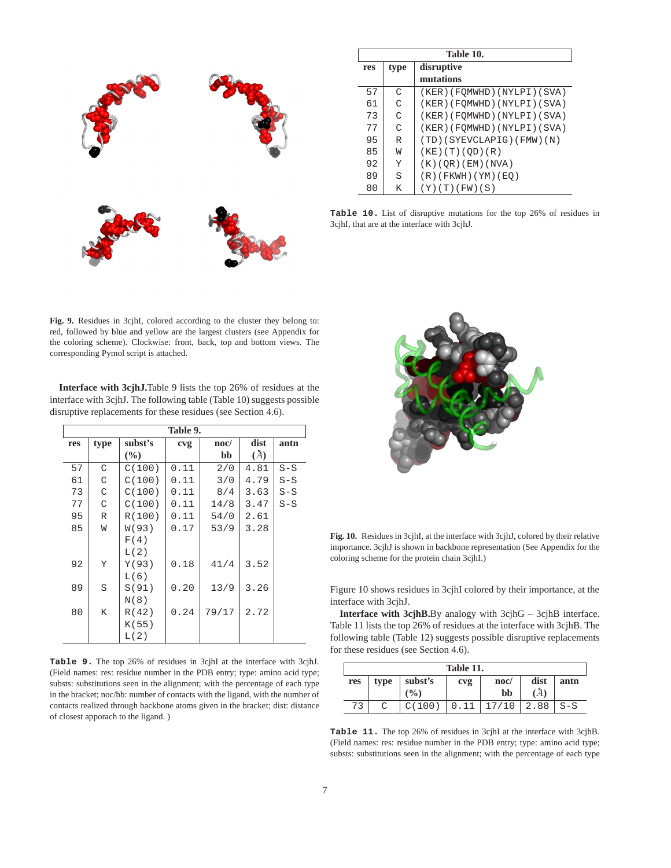

|     | Table 10. |                              |  |  |  |
|-----|-----------|------------------------------|--|--|--|
| res | type      | disruptive                   |  |  |  |
|     |           | mutations                    |  |  |  |
| 57  | C         | (KER)(FQMWHD)(NYLPI)(SVA)    |  |  |  |
| 61  | C         | (KER) (FQMWHD) (NYLPI) (SVA) |  |  |  |
| 73  | C         | (KER) (FQMWHD) (NYLPI) (SVA) |  |  |  |
| 77  | C         | (KER) (FQMWHD) (NYLPI) (SVA) |  |  |  |
| 95  | R         | (TD)(SYEVCLAPIG)(FMW)(N)     |  |  |  |
| 85  | W         | (KE) (T) (QD) (R)            |  |  |  |
| 92  | Y         | (K)(QR)(EM)(NVA)             |  |  |  |
| 89  | S         | $(R)$ (FKWH) (YM) (EQ)       |  |  |  |
| 80  | K         | (Y)(T)(FW)(S)                |  |  |  |

**Table 10.** List of disruptive mutations for the top 26% of residues in 3cjhI, that are at the interface with 3cjhJ.

**Fig. 9.** Residues in 3cjhI, colored according to the cluster they belong to: red, followed by blue and yellow are the largest clusters (see Appendix for the coloring scheme). Clockwise: front, back, top and bottom views. The corresponding Pymol script is attached.

**Interface with 3cjhJ.**Table 9 lists the top 26% of residues at the interface with 3cjhJ. The following table (Table 10) suggests possible disruptive replacements for these residues (see Section 4.6).

|     | Table 9. |         |                 |                 |      |       |  |  |
|-----|----------|---------|-----------------|-----------------|------|-------|--|--|
| res | type     | subst's | c <sub>vg</sub> | $\mathbf{noc}/$ | dist | antn  |  |  |
|     |          | $(\%)$  |                 | bb              | (A)  |       |  |  |
| 57  | C        | C(100)  | 0.11            | 2/0             | 4.81 | $S-S$ |  |  |
| 61  | C        | C(100)  | 0.11            | 3/0             | 4.79 | $S-S$ |  |  |
| 73  | C        | C(100)  | 0.11            | 8/4             | 3.63 | $S-S$ |  |  |
| 77  | C        | C(100)  | 0.11            | 14/8            | 3.47 | $S-S$ |  |  |
| 95  | R        | R(100)  | 0.11            | 54/0            | 2.61 |       |  |  |
| 85  | W        | W(93)   | 0.17            | 53/9            | 3.28 |       |  |  |
|     |          | F(4)    |                 |                 |      |       |  |  |
|     |          | L(2)    |                 |                 |      |       |  |  |
| 92  | Y        | Y(93)   | 0.18            | 41/4            | 3.52 |       |  |  |
|     |          | L(6)    |                 |                 |      |       |  |  |
| 89  | S        | S(91)   | 0.20            | 13/9            | 3.26 |       |  |  |
|     |          | N(8)    |                 |                 |      |       |  |  |
| 80  | Κ        | R(42)   | 0.24            | 79/17           | 2.72 |       |  |  |
|     |          | K(55)   |                 |                 |      |       |  |  |
|     |          | L(2)    |                 |                 |      |       |  |  |

**Table 9.** The top 26% of residues in 3cjhI at the interface with 3cjhJ. (Field names: res: residue number in the PDB entry; type: amino acid type; substs: substitutions seen in the alignment; with the percentage of each type in the bracket; noc/bb: number of contacts with the ligand, with the number of contacts realized through backbone atoms given in the bracket; dist: distance of closest apporach to the ligand. )



**Fig. 10.** Residues in 3cjhI, at the interface with 3cjhJ, colored by their relative importance. 3cjhJ is shown in backbone representation (See Appendix for the coloring scheme for the protein chain 3cjhI.)

Figure 10 shows residues in 3cjhI colored by their importance, at the interface with 3cjhJ.

**Interface with 3cjhB.**By analogy with 3cjhG – 3cjhB interface. Table 11 lists the top 26% of residues at the interface with 3cjhB. The following table (Table 12) suggests possible disruptive replacements for these residues (see Section 4.6).

|     | Table 11. |         |     |             |      |       |
|-----|-----------|---------|-----|-------------|------|-------|
| res | type      | subst's | cvg | $\bf{noc}/$ | dist | antn  |
|     |           | (%)     |     | bb          | А    |       |
| 73  |           |         |     |             | 2.88 | $S-S$ |

**Table 11.** The top 26% of residues in 3cjhI at the interface with 3cjhB. (Field names: res: residue number in the PDB entry; type: amino acid type; substs: substitutions seen in the alignment; with the percentage of each type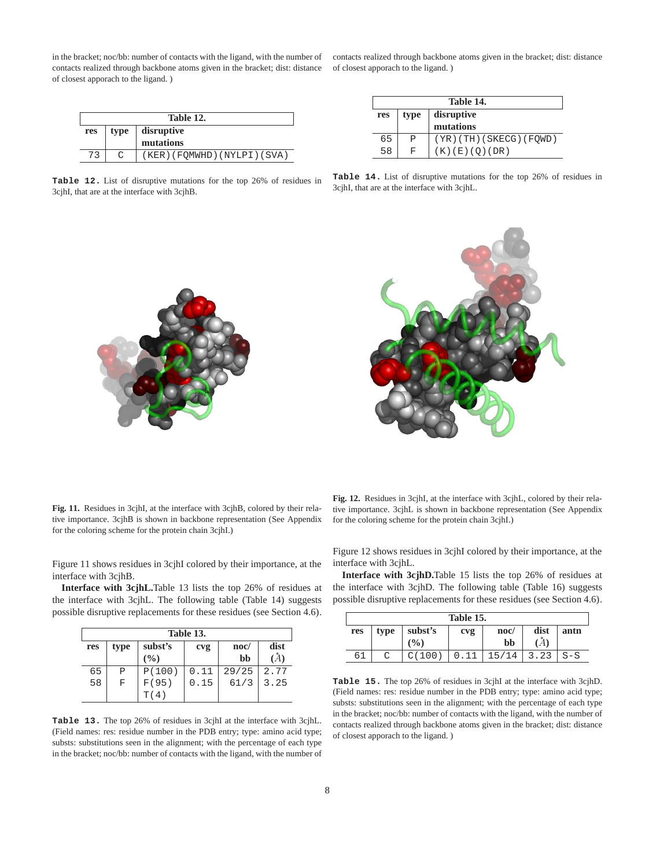in the bracket; noc/bb: number of contacts with the ligand, with the number of contacts realized through backbone atoms given in the bracket; dist: distance of closest apporach to the ligand. )

| Table 12. |      |                                 |  |  |  |
|-----------|------|---------------------------------|--|--|--|
| res       | type | $\vert$ disruptive<br>mutations |  |  |  |
| 73        |      | (KER) (FOMWHD) (NYLPI) (SVA)    |  |  |  |

**Table 12.** List of disruptive mutations for the top 26% of residues in 3cjhI, that are at the interface with 3cjhB.

contacts realized through backbone atoms given in the bracket; dist: distance of closest apporach to the ligand. )

|     | Table 14.          |                            |  |  |  |
|-----|--------------------|----------------------------|--|--|--|
| res | disruptive<br>type |                            |  |  |  |
|     |                    | mutations                  |  |  |  |
| 65  | P                  | $(YR)$ (TH) (SKECG) (FQWD) |  |  |  |
| 58  | F                  | (K) (E) (O) (DR)           |  |  |  |

**Table 14.** List of disruptive mutations for the top 26% of residues in 3cjhI, that are at the interface with 3cjhL.



**Fig. 11.** Residues in 3cjhI, at the interface with 3cjhB, colored by their relative importance. 3cjhB is shown in backbone representation (See Appendix for the coloring scheme for the protein chain 3cjhI.)

Figure 11 shows residues in 3cjhI colored by their importance, at the interface with 3cjhB.

**Interface with 3cjhL.**Table 13 lists the top 26% of residues at the interface with 3cjhL. The following table (Table 14) suggests possible disruptive replacements for these residues (see Section 4.6).

|     | Table 13. |               |      |                 |          |  |  |
|-----|-----------|---------------|------|-----------------|----------|--|--|
| res | type      | subst's       | cvg  | $\mathbf{noc}/$ | dist     |  |  |
|     |           | $\frac{9}{6}$ |      | bb              | $\bm{A}$ |  |  |
| 65  | P         | P(100)        | 0.11 | 29/25           | 2.77     |  |  |
| 58  | F         | F(95)         | 0.15 | 61/3            | 3.25     |  |  |
|     |           | T(4)          |      |                 |          |  |  |

**Table 13.** The top 26% of residues in 3cjhI at the interface with 3cjhL. (Field names: res: residue number in the PDB entry; type: amino acid type; substs: substitutions seen in the alignment; with the percentage of each type in the bracket; noc/bb: number of contacts with the ligand, with the number of

**Fig. 12.** Residues in 3cjhI, at the interface with 3cjhL, colored by their relative importance. 3cjhL is shown in backbone representation (See Appendix for the coloring scheme for the protein chain 3cjhI.)

Figure 12 shows residues in 3cjhI colored by their importance, at the interface with 3cjhL.

**Interface with 3cjhD.**Table 15 lists the top 26% of residues at the interface with 3cjhD. The following table (Table 16) suggests possible disruptive replacements for these residues (see Section 4.6).

|     | Table 15. |                  |     |            |      |       |
|-----|-----------|------------------|-----|------------|------|-------|
| res | type      | subst's<br>(0/0) | cvg | noc/<br>bb | dist | antn  |
| 6⊥  |           |                  |     | 114<br>15. | .23  | $S-S$ |

**Table 15.** The top 26% of residues in 3cjhI at the interface with 3cjhD. (Field names: res: residue number in the PDB entry; type: amino acid type; substs: substitutions seen in the alignment; with the percentage of each type in the bracket; noc/bb: number of contacts with the ligand, with the number of contacts realized through backbone atoms given in the bracket; dist: distance of closest apporach to the ligand. )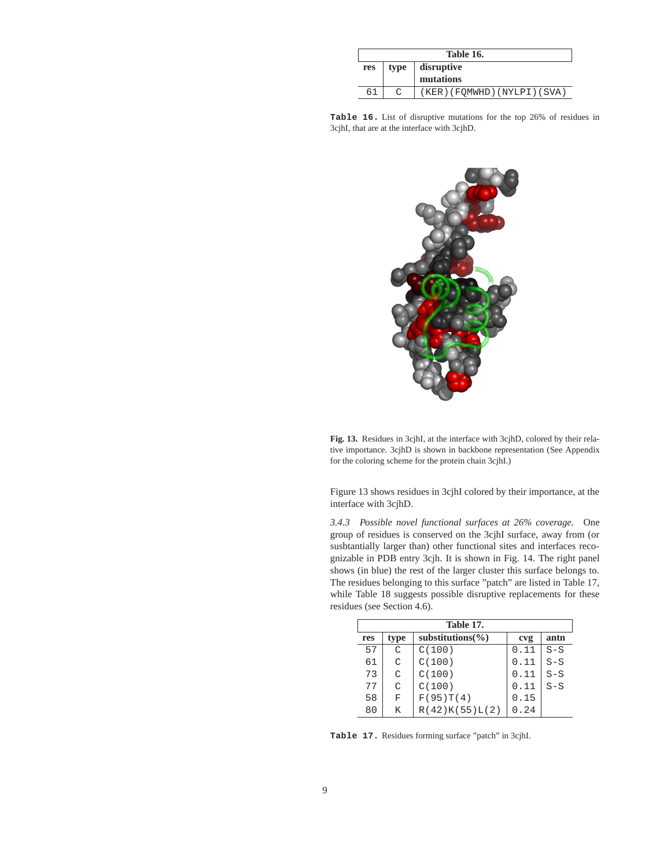|     | Table 16.                       |                              |  |  |  |
|-----|---------------------------------|------------------------------|--|--|--|
| res | disruptive<br>mutations<br>type |                              |  |  |  |
|     |                                 | (KER) (FQMWHD) (NYLPI) (SVA) |  |  |  |

**Table 16.** List of disruptive mutations for the top 26% of residues in 3cjhI, that are at the interface with 3cjhD.



**Fig. 13.** Residues in 3cjhI, at the interface with 3cjhD, colored by their relative importance. 3cjhD is shown in backbone representation (See Appendix for the coloring scheme for the protein chain 3cjhI.)

Figure 13 shows residues in 3cjhI colored by their importance, at the interface with 3cjhD.

*3.4.3 Possible novel functional surfaces at 26% coverage.* One group of residues is conserved on the 3cjhI surface, away from (or susbtantially larger than) other functional sites and interfaces recognizable in PDB entry 3cjh. It is shown in Fig. 14. The right panel shows (in blue) the rest of the larger cluster this surface belongs to. The residues belonging to this surface "patch" are listed in Table 17, while Table 18 suggests possible disruptive replacements for these residues (see Section 4.6).

|     | Table 17. |                       |      |       |  |  |  |  |
|-----|-----------|-----------------------|------|-------|--|--|--|--|
| res | type      | substitutions $(\% )$ | cvg  | antn  |  |  |  |  |
| 57  | C         | C(100)                | 0.11 | $S-S$ |  |  |  |  |
| 61  | C         | C(100)                | 0.11 | $S-S$ |  |  |  |  |
| 73  | C         | C(100)                | 0.11 | $S-S$ |  |  |  |  |
| 77  | C         | C(100)                | 0.11 | $S-S$ |  |  |  |  |
| 58  | F         | F(95)T(4)             | 0.15 |       |  |  |  |  |
| 80  | K         | R(42)K(55)L(2)        | 0.24 |       |  |  |  |  |

**Table 17.** Residues forming surface "patch" in 3cjhI.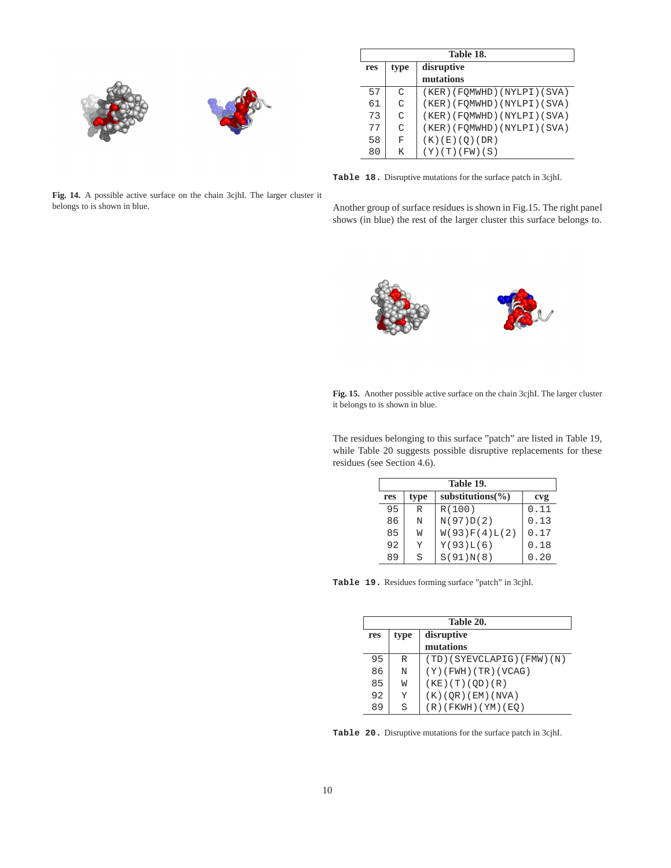

|     | Table 18.          |                              |  |  |  |
|-----|--------------------|------------------------------|--|--|--|
| res | disruptive<br>type |                              |  |  |  |
|     |                    | mutations                    |  |  |  |
| 57  | $\subset$          | (KER) (FOMWHD) (NYLPI) (SVA) |  |  |  |
| 61  | $\cap$             | (KER) (FOMWHD) (NYLPI) (SVA) |  |  |  |
| 73  | $\cap$             | (KER) (FOMWHD) (NYLPI) (SVA) |  |  |  |
| 77  | $\mathcal{C}$      | (KER) (FOMWHD) (NYLPI) (SVA) |  |  |  |
| 58  | F                  | (K)(E)(Q)(DR)                |  |  |  |
| 80  | K                  | (Y)(T)(FW)(S)                |  |  |  |

**Table 18.** Disruptive mutations for the surface patch in 3cjhI.

**Fig. 14.** A possible active surface on the chain 3cjhI. The larger cluster it belongs to is shown in blue.

Another group of surface residues is shown in Fig.15. The right panel shows (in blue) the rest of the larger cluster this surface belongs to.



**Fig. 15.** Another possible active surface on the chain 3cjhI. The larger cluster it belongs to is shown in blue.

The residues belonging to this surface "patch" are listed in Table 19, while Table 20 suggests possible disruptive replacements for these residues (see Section 4.6).

| Table 19. |              |                       |      |  |
|-----------|--------------|-----------------------|------|--|
| res       | type         | substitutions $(\% )$ | cvg  |  |
| 95        | $\mathbb{R}$ | R(100)                | 0.11 |  |
| 86        | N            | N(97)D(2)             | 0.13 |  |
| 85        | W            | W(93)F(4)L(2)         | 0.17 |  |
| 92        | Y            | Y(93)L(6)             | 0.18 |  |
| 89        | S            | S(91)N(8)             | 0.20 |  |

**Table 19.** Residues forming surface "patch" in 3cjhI.

| Table 20. |      |                           |  |
|-----------|------|---------------------------|--|
| res       | type | disruptive                |  |
|           |      | mutations                 |  |
| 95        | R    | (TD)(SYEVCLAPIG)(FMW)(N)  |  |
| 86        | N    | $(Y)$ (FWH) (TR) (VCAG)   |  |
| 85        | W    | $(KE)$ $(T)$ $(OD)$ $(R)$ |  |
| 92        | Y    | (K)(QR)(EM)(NVA)          |  |
| 89        | S    | $(R)$ (FKWH) (YM) (EQ)    |  |

**Table 20.** Disruptive mutations for the surface patch in 3cjhI.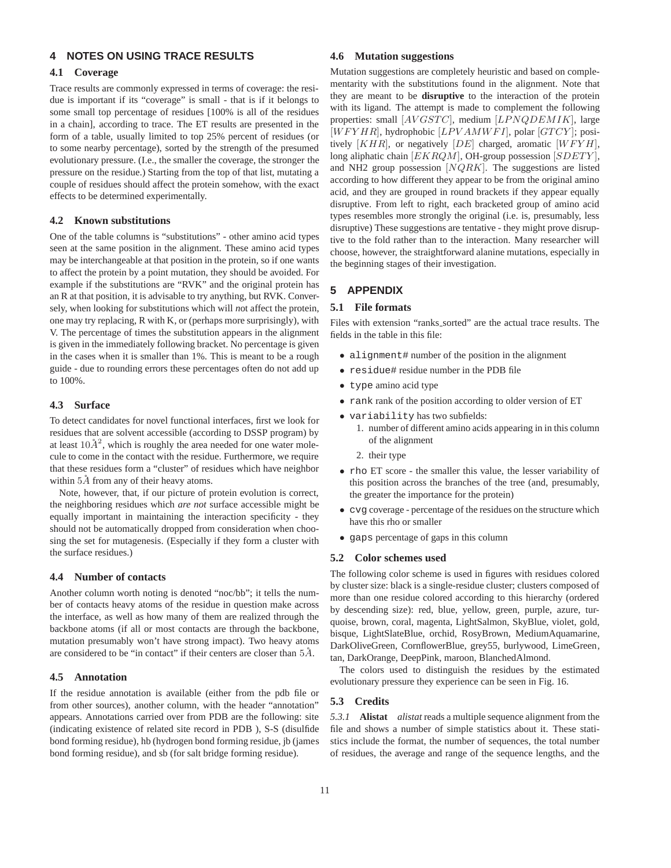## **4 NOTES ON USING TRACE RESULTS**

## **4.1 Coverage**

Trace results are commonly expressed in terms of coverage: the residue is important if its "coverage" is small - that is if it belongs to some small top percentage of residues [100% is all of the residues in a chain], according to trace. The ET results are presented in the form of a table, usually limited to top 25% percent of residues (or to some nearby percentage), sorted by the strength of the presumed evolutionary pressure. (I.e., the smaller the coverage, the stronger the pressure on the residue.) Starting from the top of that list, mutating a couple of residues should affect the protein somehow, with the exact effects to be determined experimentally.

#### **4.2 Known substitutions**

One of the table columns is "substitutions" - other amino acid types seen at the same position in the alignment. These amino acid types may be interchangeable at that position in the protein, so if one wants to affect the protein by a point mutation, they should be avoided. For example if the substitutions are "RVK" and the original protein has an R at that position, it is advisable to try anything, but RVK. Conversely, when looking for substitutions which will *n*ot affect the protein, one may try replacing, R with K, or (perhaps more surprisingly), with V. The percentage of times the substitution appears in the alignment is given in the immediately following bracket. No percentage is given in the cases when it is smaller than 1%. This is meant to be a rough guide - due to rounding errors these percentages often do not add up to 100%.

#### **4.3 Surface**

To detect candidates for novel functional interfaces, first we look for residues that are solvent accessible (according to DSSP program) by at least  $10\AA^2$ , which is roughly the area needed for one water molecule to come in the contact with the residue. Furthermore, we require that these residues form a "cluster" of residues which have neighbor within  $5\AA$  from any of their heavy atoms.

Note, however, that, if our picture of protein evolution is correct, the neighboring residues which *are not* surface accessible might be equally important in maintaining the interaction specificity - they should not be automatically dropped from consideration when choosing the set for mutagenesis. (Especially if they form a cluster with the surface residues.)

#### **4.4 Number of contacts**

Another column worth noting is denoted "noc/bb"; it tells the number of contacts heavy atoms of the residue in question make across the interface, as well as how many of them are realized through the backbone atoms (if all or most contacts are through the backbone, mutation presumably won't have strong impact). Two heavy atoms are considered to be "in contact" if their centers are closer than  $5\AA$ .

#### **4.5 Annotation**

If the residue annotation is available (either from the pdb file or from other sources), another column, with the header "annotation" appears. Annotations carried over from PDB are the following: site (indicating existence of related site record in PDB ), S-S (disulfide bond forming residue), hb (hydrogen bond forming residue, jb (james bond forming residue), and sb (for salt bridge forming residue).

#### **4.6 Mutation suggestions**

Mutation suggestions are completely heuristic and based on complementarity with the substitutions found in the alignment. Note that they are meant to be **disruptive** to the interaction of the protein with its ligand. The attempt is made to complement the following properties: small [AVGSTC], medium [LPNQDEMIK], large  $[WFYHR]$ , hydrophobic  $[LPVAMWFI]$ , polar  $[GTCY]$ ; positively  $[KHR]$ , or negatively  $[DE]$  charged, aromatic  $[WFYH]$ , long aliphatic chain  $[EKRQM]$ , OH-group possession  $[SDETY]$ , and NH2 group possession  $[NQRK]$ . The suggestions are listed according to how different they appear to be from the original amino acid, and they are grouped in round brackets if they appear equally disruptive. From left to right, each bracketed group of amino acid types resembles more strongly the original (i.e. is, presumably, less disruptive) These suggestions are tentative - they might prove disruptive to the fold rather than to the interaction. Many researcher will choose, however, the straightforward alanine mutations, especially in the beginning stages of their investigation.

## **5 APPENDIX**

## **5.1 File formats**

Files with extension "ranks sorted" are the actual trace results. The fields in the table in this file:

- alignment# number of the position in the alignment
- residue# residue number in the PDB file
- type amino acid type
- rank rank of the position according to older version of ET
- variability has two subfields:
	- 1. number of different amino acids appearing in in this column of the alignment
	- 2. their type
- rho ET score the smaller this value, the lesser variability of this position across the branches of the tree (and, presumably, the greater the importance for the protein)
- cvg coverage percentage of the residues on the structure which have this rho or smaller
- gaps percentage of gaps in this column

#### **5.2 Color schemes used**

The following color scheme is used in figures with residues colored by cluster size: black is a single-residue cluster; clusters composed of more than one residue colored according to this hierarchy (ordered by descending size): red, blue, yellow, green, purple, azure, turquoise, brown, coral, magenta, LightSalmon, SkyBlue, violet, gold, bisque, LightSlateBlue, orchid, RosyBrown, MediumAquamarine, DarkOliveGreen, CornflowerBlue, grey55, burlywood, LimeGreen, tan, DarkOrange, DeepPink, maroon, BlanchedAlmond.

The colors used to distinguish the residues by the estimated evolutionary pressure they experience can be seen in Fig. 16.

#### **5.3 Credits**

*5.3.1* **Alistat** *alistat* reads a multiple sequence alignment from the file and shows a number of simple statistics about it. These statistics include the format, the number of sequences, the total number of residues, the average and range of the sequence lengths, and the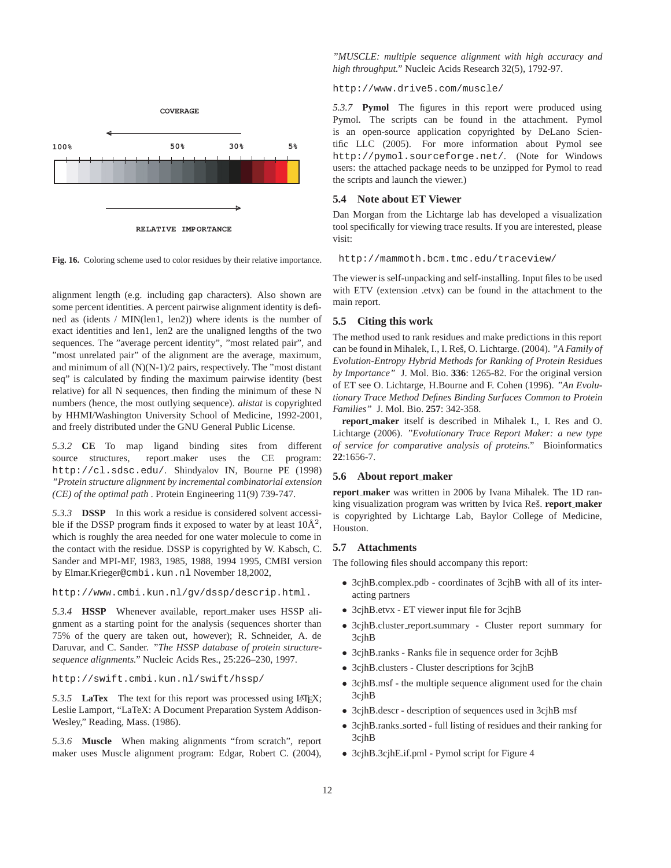

**RELATIVE IMPORTANCE**

**Fig. 16.** Coloring scheme used to color residues by their relative importance.

alignment length (e.g. including gap characters). Also shown are some percent identities. A percent pairwise alignment identity is defined as (idents / MIN(len1, len2)) where idents is the number of exact identities and len1, len2 are the unaligned lengths of the two sequences. The "average percent identity", "most related pair", and "most unrelated pair" of the alignment are the average, maximum, and minimum of all (N)(N-1)/2 pairs, respectively. The "most distant seq" is calculated by finding the maximum pairwise identity (best relative) for all N sequences, then finding the minimum of these N numbers (hence, the most outlying sequence). *alistat* is copyrighted by HHMI/Washington University School of Medicine, 1992-2001, and freely distributed under the GNU General Public License.

*5.3.2* **CE** To map ligand binding sites from different source structures, report\_maker uses the CE program: http://cl.sdsc.edu/. Shindyalov IN, Bourne PE (1998) *"Protein structure alignment by incremental combinatorial extension (CE) of the optimal path* . Protein Engineering 11(9) 739-747.

*5.3.3* **DSSP** In this work a residue is considered solvent accessible if the DSSP program finds it exposed to water by at least  $10\text{\AA}^2$ , which is roughly the area needed for one water molecule to come in the contact with the residue. DSSP is copyrighted by W. Kabsch, C. Sander and MPI-MF, 1983, 1985, 1988, 1994 1995, CMBI version by Elmar.Krieger@cmbi.kun.nl November 18,2002,

http://www.cmbi.kun.nl/gv/dssp/descrip.html.

*5.3.4* **HSSP** Whenever available, report maker uses HSSP alignment as a starting point for the analysis (sequences shorter than 75% of the query are taken out, however); R. Schneider, A. de Daruvar, and C. Sander. *"The HSSP database of protein structuresequence alignments."* Nucleic Acids Res., 25:226–230, 1997.

http://swift.cmbi.kun.nl/swift/hssp/

5.3.5 **LaTex** The text for this report was processed using LATEX; Leslie Lamport, "LaTeX: A Document Preparation System Addison-Wesley," Reading, Mass. (1986).

*5.3.6* **Muscle** When making alignments "from scratch", report maker uses Muscle alignment program: Edgar, Robert C. (2004),

#### *"MUSCLE: multiple sequence alignment with high accuracy and high throughput."* Nucleic Acids Research 32(5), 1792-97.

http://www.drive5.com/muscle/

*5.3.7* **Pymol** The figures in this report were produced using Pymol. The scripts can be found in the attachment. Pymol is an open-source application copyrighted by DeLano Scientific LLC (2005). For more information about Pymol see http://pymol.sourceforge.net/. (Note for Windows users: the attached package needs to be unzipped for Pymol to read the scripts and launch the viewer.)

#### **5.4 Note about ET Viewer**

Dan Morgan from the Lichtarge lab has developed a visualization tool specifically for viewing trace results. If you are interested, please visit:

http://mammoth.bcm.tmc.edu/traceview/

The viewer is self-unpacking and self-installing. Input files to be used with ETV (extension .etvx) can be found in the attachment to the main report.

#### **5.5 Citing this work**

The method used to rank residues and make predictions in this report can be found in Mihalek, I., I. Res, O. Lichtarge. (2004). ˇ *"A Family of Evolution-Entropy Hybrid Methods for Ranking of Protein Residues by Importance"* J. Mol. Bio. **336**: 1265-82. For the original version of ET see O. Lichtarge, H.Bourne and F. Cohen (1996). *"An Evolutionary Trace Method Defines Binding Surfaces Common to Protein Families"* J. Mol. Bio. **257**: 342-358.

**report maker** itself is described in Mihalek I., I. Res and O. Lichtarge (2006). *"Evolutionary Trace Report Maker: a new type of service for comparative analysis of proteins."* Bioinformatics **22**:1656-7.

#### **5.6 About report maker**

**report maker** was written in 2006 by Ivana Mihalek. The 1D ranking visualization program was written by Ivica Reš. **report\_maker** is copyrighted by Lichtarge Lab, Baylor College of Medicine, Houston.

#### **5.7 Attachments**

The following files should accompany this report:

- 3cjhB.complex.pdb coordinates of 3cjhB with all of its interacting partners
- 3cjhB.etvx ET viewer input file for 3cjhB
- 3cjhB.cluster report.summary Cluster report summary for 3cjhB
- 3cjhB.ranks Ranks file in sequence order for 3cjhB
- 3cjhB.clusters Cluster descriptions for 3cjhB
- 3cjhB.msf the multiple sequence alignment used for the chain 3cjhB
- 3cjhB.descr description of sequences used in 3cjhB msf
- 3cjhB.ranks\_sorted full listing of residues and their ranking for 3cjhB
- 3cjhB.3cjhE.if.pml Pymol script for Figure 4